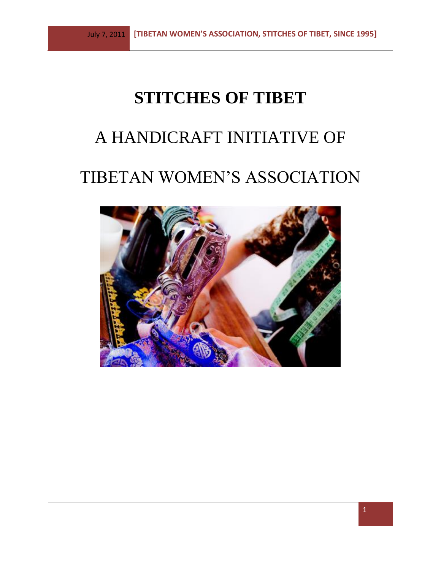# **STITCHES OF TIBET**

# A HANDICRAFT INITIATIVE OF

# TIBETAN WOMEN'S ASSOCIATION

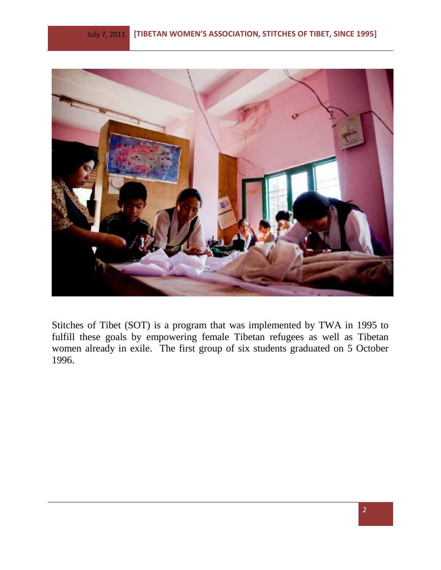

Stitches of Tibet (SOT) is a program that was implemented by TWA in 1995 to fulfill these goals by empowering female Tibetan refugees as well as Tibetan women already in exile. The first group of six students graduated on 5 October 1996.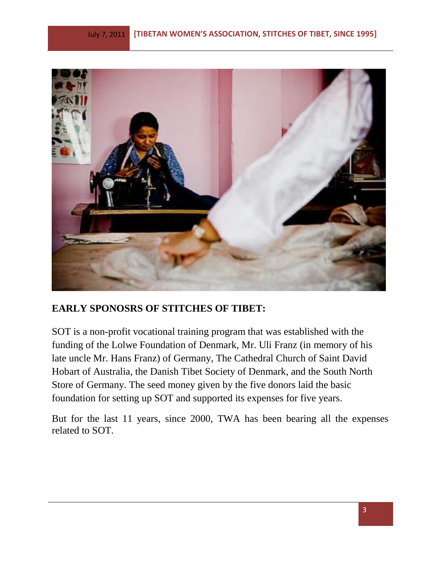

#### **EARLY SPONOSRS OF STITCHES OF TIBET:**

SOT is a non-profit vocational training program that was established with the funding of the Lolwe Foundation of Denmark, Mr. Uli Franz (in memory of his late uncle Mr. Hans Franz) of Germany, The Cathedral Church of Saint David Hobart of Australia, the Danish Tibet Society of Denmark, and the South North Store of Germany. The seed money given by the five donors laid the basic foundation for setting up SOT and supported its expenses for five years.

But for the last 11 years, since 2000, TWA has been bearing all the expenses related to SOT.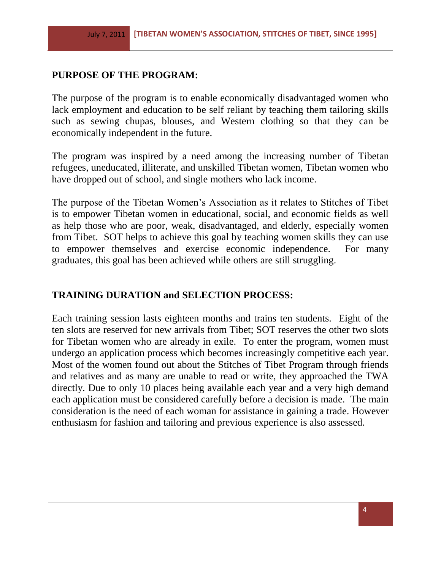### **PURPOSE OF THE PROGRAM:**

The purpose of the program is to enable economically disadvantaged women who lack employment and education to be self reliant by teaching them tailoring skills such as sewing chupas, blouses, and Western clothing so that they can be economically independent in the future.

The program was inspired by a need among the increasing number of Tibetan refugees, uneducated, illiterate, and unskilled Tibetan women, Tibetan women who have dropped out of school, and single mothers who lack income.

The purpose of the Tibetan Women's Association as it relates to Stitches of Tibet is to empower Tibetan women in educational, social, and economic fields as well as help those who are poor, weak, disadvantaged, and elderly, especially women from Tibet. SOT helps to achieve this goal by teaching women skills they can use to empower themselves and exercise economic independence. For many graduates, this goal has been achieved while others are still struggling.

#### **TRAINING DURATION and SELECTION PROCESS:**

Each training session lasts eighteen months and trains ten students. Eight of the ten slots are reserved for new arrivals from Tibet; SOT reserves the other two slots for Tibetan women who are already in exile. To enter the program, women must undergo an application process which becomes increasingly competitive each year. Most of the women found out about the Stitches of Tibet Program through friends and relatives and as many are unable to read or write, they approached the TWA directly. Due to only 10 places being available each year and a very high demand each application must be considered carefully before a decision is made. The main consideration is the need of each woman for assistance in gaining a trade. However enthusiasm for fashion and tailoring and previous experience is also assessed.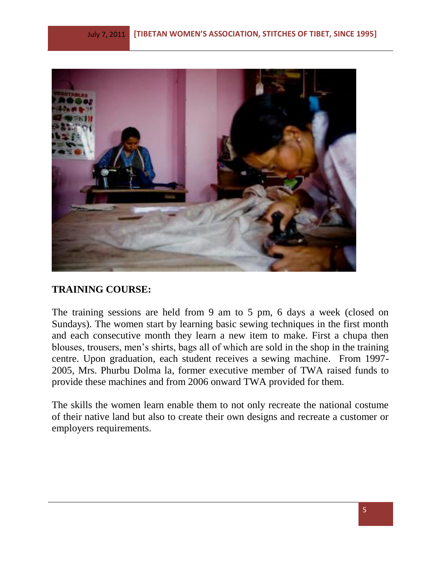

#### **TRAINING COURSE:**

The training sessions are held from 9 am to 5 pm, 6 days a week (closed on Sundays). The women start by learning basic sewing techniques in the first month and each consecutive month they learn a new item to make. First a chupa then blouses, trousers, men's shirts, bags all of which are sold in the shop in the training centre. Upon graduation, each student receives a sewing machine. From 1997- 2005, Mrs. Phurbu Dolma la, former executive member of TWA raised funds to provide these machines and from 2006 onward TWA provided for them.

The skills the women learn enable them to not only recreate the national costume of their native land but also to create their own designs and recreate a customer or employers requirements.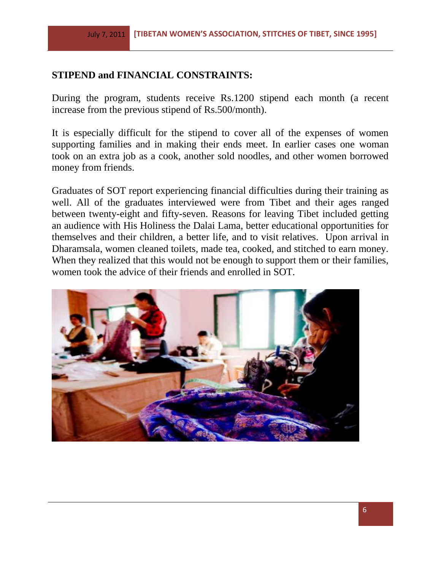#### **STIPEND and FINANCIAL CONSTRAINTS:**

During the program, students receive Rs.1200 stipend each month (a recent increase from the previous stipend of Rs.500/month).

It is especially difficult for the stipend to cover all of the expenses of women supporting families and in making their ends meet. In earlier cases one woman took on an extra job as a cook, another sold noodles, and other women borrowed money from friends.

Graduates of SOT report experiencing financial difficulties during their training as well. All of the graduates interviewed were from Tibet and their ages ranged between twenty-eight and fifty-seven. Reasons for leaving Tibet included getting an audience with His Holiness the Dalai Lama, better educational opportunities for themselves and their children, a better life, and to visit relatives. Upon arrival in Dharamsala, women cleaned toilets, made tea, cooked, and stitched to earn money. When they realized that this would not be enough to support them or their families, women took the advice of their friends and enrolled in SOT.

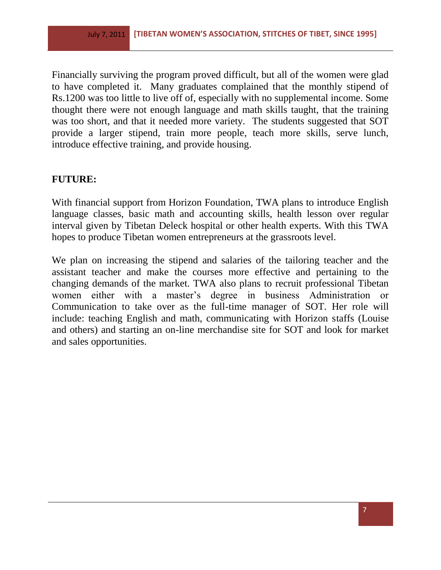Financially surviving the program proved difficult, but all of the women were glad to have completed it. Many graduates complained that the monthly stipend of Rs.1200 was too little to live off of, especially with no supplemental income. Some thought there were not enough language and math skills taught, that the training was too short, and that it needed more variety. The students suggested that SOT provide a larger stipend, train more people, teach more skills, serve lunch, introduce effective training, and provide housing.

#### **FUTURE:**

With financial support from Horizon Foundation, TWA plans to introduce English language classes, basic math and accounting skills, health lesson over regular interval given by Tibetan Deleck hospital or other health experts. With this TWA hopes to produce Tibetan women entrepreneurs at the grassroots level.

We plan on increasing the stipend and salaries of the tailoring teacher and the assistant teacher and make the courses more effective and pertaining to the changing demands of the market. TWA also plans to recruit professional Tibetan women either with a master's degree in business Administration or Communication to take over as the full-time manager of SOT. Her role will include: teaching English and math, communicating with Horizon staffs (Louise and others) and starting an on-line merchandise site for SOT and look for market and sales opportunities.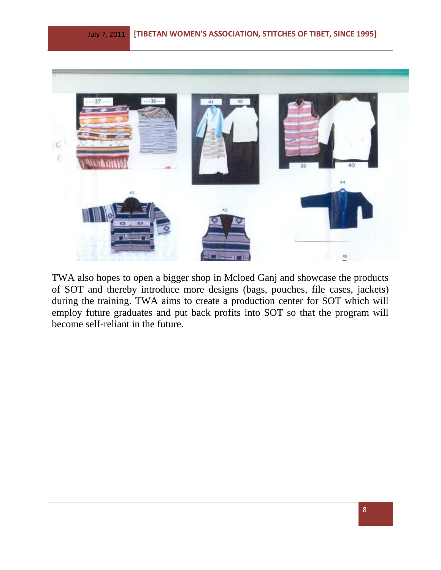

TWA also hopes to open a bigger shop in Mcloed Ganj and showcase the products of SOT and thereby introduce more designs (bags, pouches, file cases, jackets) during the training. TWA aims to create a production center for SOT which will employ future graduates and put back profits into SOT so that the program will become self-reliant in the future.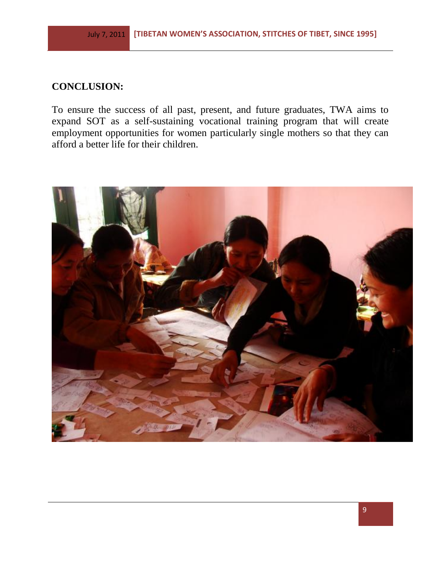### **CONCLUSION:**

To ensure the success of all past, present, and future graduates, TWA aims to expand SOT as a self-sustaining vocational training program that will create employment opportunities for women particularly single mothers so that they can afford a better life for their children.

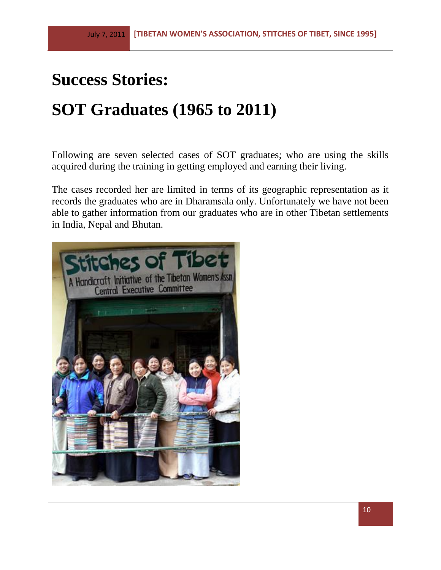# **Success Stories: SOT Graduates (1965 to 2011)**

Following are seven selected cases of SOT graduates; who are using the skills acquired during the training in getting employed and earning their living.

The cases recorded her are limited in terms of its geographic representation as it records the graduates who are in Dharamsala only. Unfortunately we have not been able to gather information from our graduates who are in other Tibetan settlements in India, Nepal and Bhutan.

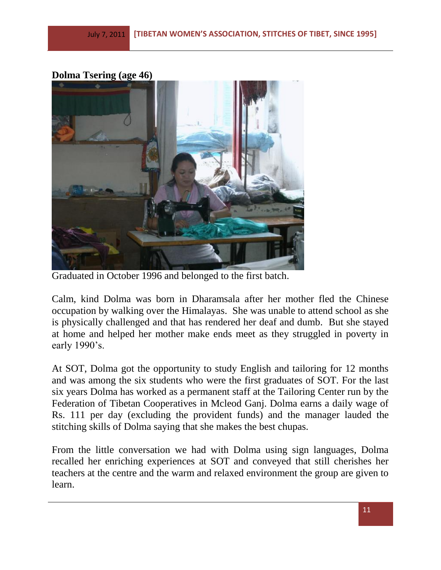#### **Dolma Tsering (age 46)**



Graduated in October 1996 and belonged to the first batch.

Calm, kind Dolma was born in Dharamsala after her mother fled the Chinese occupation by walking over the Himalayas. She was unable to attend school as she is physically challenged and that has rendered her deaf and dumb. But she stayed at home and helped her mother make ends meet as they struggled in poverty in early 1990's.

At SOT, Dolma got the opportunity to study English and tailoring for 12 months and was among the six students who were the first graduates of SOT. For the last six years Dolma has worked as a permanent staff at the Tailoring Center run by the Federation of Tibetan Cooperatives in Mcleod Ganj. Dolma earns a daily wage of Rs. 111 per day (excluding the provident funds) and the manager lauded the stitching skills of Dolma saying that she makes the best chupas.

From the little conversation we had with Dolma using sign languages, Dolma recalled her enriching experiences at SOT and conveyed that still cherishes her teachers at the centre and the warm and relaxed environment the group are given to learn.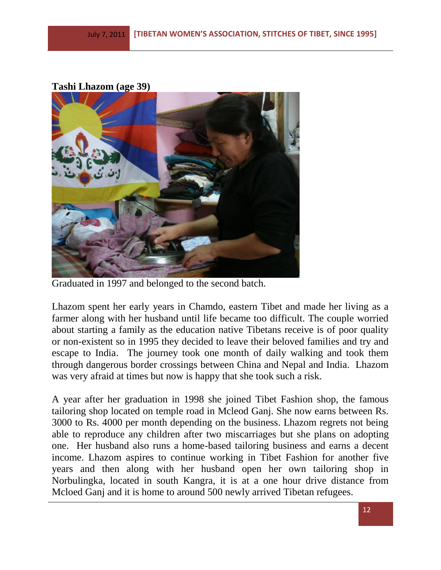#### **Tashi Lhazom (age 39)**



Graduated in 1997 and belonged to the second batch.

Lhazom spent her early years in Chamdo, eastern Tibet and made her living as a farmer along with her husband until life became too difficult. The couple worried about starting a family as the education native Tibetans receive is of poor quality or non-existent so in 1995 they decided to leave their beloved families and try and escape to India. The journey took one month of daily walking and took them through dangerous border crossings between China and Nepal and India. Lhazom was very afraid at times but now is happy that she took such a risk.

A year after her graduation in 1998 she joined Tibet Fashion shop, the famous tailoring shop located on temple road in Mcleod Ganj. She now earns between Rs. 3000 to Rs. 4000 per month depending on the business. Lhazom regrets not being able to reproduce any children after two miscarriages but she plans on adopting one. Her husband also runs a home-based tailoring business and earns a decent income. Lhazom aspires to continue working in Tibet Fashion for another five years and then along with her husband open her own tailoring shop in Norbulingka, located in south Kangra, it is at a one hour drive distance from Mcloed Ganj and it is home to around 500 newly arrived Tibetan refugees.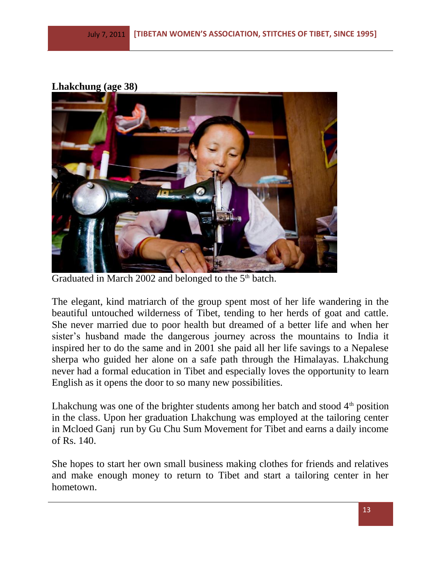# **Lhakchung (age 38)**



Graduated in March 2002 and belonged to the 5<sup>th</sup> batch.

The elegant, kind matriarch of the group spent most of her life wandering in the beautiful untouched wilderness of Tibet, tending to her herds of goat and cattle. She never married due to poor health but dreamed of a better life and when her sister's husband made the dangerous journey across the mountains to India it inspired her to do the same and in 2001 she paid all her life savings to a Nepalese sherpa who guided her alone on a safe path through the Himalayas. Lhakchung never had a formal education in Tibet and especially loves the opportunity to learn English as it opens the door to so many new possibilities.

Lhakchung was one of the brighter students among her batch and stood  $4<sup>th</sup>$  position in the class. Upon her graduation Lhakchung was employed at the tailoring center in Mcloed Ganj run by Gu Chu Sum Movement for Tibet and earns a daily income of Rs. 140.

She hopes to start her own small business making clothes for friends and relatives and make enough money to return to Tibet and start a tailoring center in her hometown.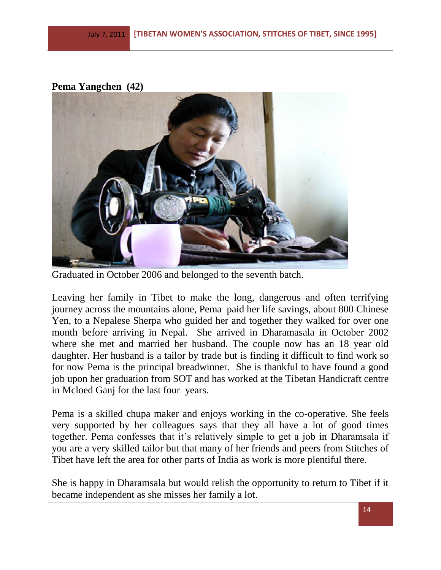## **Pema Yangchen (42)**



Graduated in October 2006 and belonged to the seventh batch.

Leaving her family in Tibet to make the long, dangerous and often terrifying journey across the mountains alone, Pema paid her life savings, about 800 Chinese Yen, to a Nepalese Sherpa who guided her and together they walked for over one month before arriving in Nepal. She arrived in Dharamasala in October 2002 where she met and married her husband. The couple now has an 18 year old daughter. Her husband is a tailor by trade but is finding it difficult to find work so for now Pema is the principal breadwinner. She is thankful to have found a good job upon her graduation from SOT and has worked at the Tibetan Handicraft centre in Mcloed Ganj for the last four years.

Pema is a skilled chupa maker and enjoys working in the co-operative. She feels very supported by her colleagues says that they all have a lot of good times together. Pema confesses that it's relatively simple to get a job in Dharamsala if you are a very skilled tailor but that many of her friends and peers from Stitches of Tibet have left the area for other parts of India as work is more plentiful there.

She is happy in Dharamsala but would relish the opportunity to return to Tibet if it became independent as she misses her family a lot.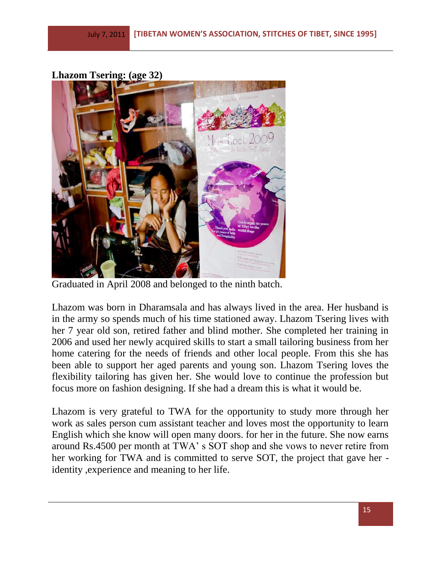**Lhazom Tsering: (age 32)**



Graduated in April 2008 and belonged to the ninth batch.

Lhazom was born in Dharamsala and has always lived in the area. Her husband is in the army so spends much of his time stationed away. Lhazom Tsering lives with her 7 year old son, retired father and blind mother. She completed her training in 2006 and used her newly acquired skills to start a small tailoring business from her home catering for the needs of friends and other local people. From this she has been able to support her aged parents and young son. Lhazom Tsering loves the flexibility tailoring has given her. She would love to continue the profession but focus more on fashion designing. If she had a dream this is what it would be.

Lhazom is very grateful to TWA for the opportunity to study more through her work as sales person cum assistant teacher and loves most the opportunity to learn English which she know will open many doors. for her in the future. She now earns around Rs.4500 per month at TWA' s SOT shop and she vows to never retire from her working for TWA and is committed to serve SOT, the project that gave her identity ,experience and meaning to her life.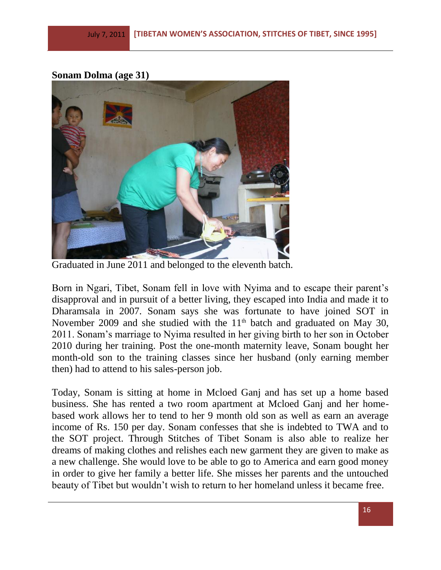#### **Sonam Dolma (age 31)**



Graduated in June 2011 and belonged to the eleventh batch.

Born in Ngari, Tibet, Sonam fell in love with Nyima and to escape their parent's disapproval and in pursuit of a better living, they escaped into India and made it to Dharamsala in 2007. Sonam says she was fortunate to have joined SOT in November 2009 and she studied with the  $11<sup>th</sup>$  batch and graduated on May 30, 2011. Sonam's marriage to Nyima resulted in her giving birth to her son in October 2010 during her training. Post the one-month maternity leave, Sonam bought her month-old son to the training classes since her husband (only earning member then) had to attend to his sales-person job.

Today, Sonam is sitting at home in Mcloed Ganj and has set up a home based business. She has rented a two room apartment at Mcloed Ganj and her homebased work allows her to tend to her 9 month old son as well as earn an average income of Rs. 150 per day. Sonam confesses that she is indebted to TWA and to the SOT project. Through Stitches of Tibet Sonam is also able to realize her dreams of making clothes and relishes each new garment they are given to make as a new challenge. She would love to be able to go to America and earn good money in order to give her family a better life. She misses her parents and the untouched beauty of Tibet but wouldn't wish to return to her homeland unless it became free.